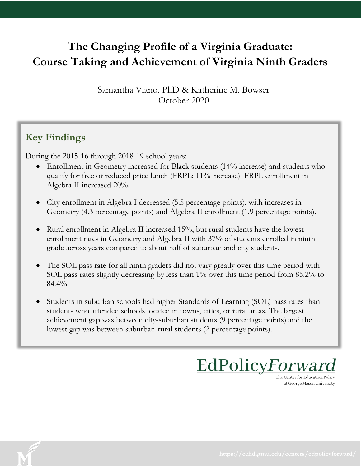## **The Changing Profile of a Virginia Graduate: Course Taking and Achievement of Virginia Ninth Graders**

Samantha Viano, PhD & Katherine M. Bowser October 2020

#### **Key Findings**

During the 2015-16 through 2018-19 school years:

- Enrollment in Geometry increased for Black students (14% increase) and students who qualify for free or reduced price lunch (FRPL; 11% increase). FRPL enrollment in Algebra II increased 20%.
- City enrollment in Algebra I decreased (5.5 percentage points), with increases in Geometry (4.3 percentage points) and Algebra II enrollment (1.9 percentage points).
- Rural enrollment in Algebra II increased 15%, but rural students have the lowest enrollment rates in Geometry and Algebra II with 37% of students enrolled in ninth grade across years compared to about half of suburban and city students.
- The SOL pass rate for all ninth graders did not vary greatly over this time period with SOL pass rates slightly decreasing by less than 1% over this time period from 85.2% to  $84.4\%$ .
- Students in suburban schools had higher Standards of Learning (SOL) pass rates than students who attended schools located in towns, cities, or rural areas. The largest achievement gap was between city-suburban students (9 percentage points) and the lowest gap was between suburban-rural students (2 percentage points).

EdPolicyForward

The Center for Education Policy at George Mason University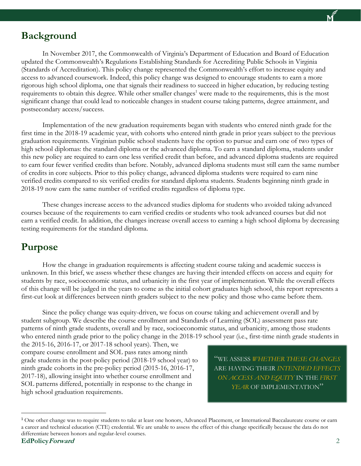#### **Background**

In November 2017, the Commonwealth of Virginia's Department of Education and Board of Education updated the Commonwealth's Regulations Establishing Standards for Accrediting Public Schools in Virginia (Standards of Accreditation). This policy change represented the Commonwealth's effort to increase equity and access to advanced coursework. Indeed, this policy change was designed to encourage students to earn a more rigorous high school diploma, one that signals their readiness to succeed in higher education, by reducing testing requirements to obtain this degree. While other smaller changes<sup>1</sup> were made to the requirements, this is the most significant change that could lead to noticeable changes in student course taking patterns, degree attainment, and postsecondary access/success.

Implementation of the new graduation requirements began with students who entered ninth grade for the first time in the 2018-19 academic year, with cohorts who entered ninth grade in prior years subject to the previous graduation requirements. Virginian public school students have the option to pursue and earn one of two types of high school diplomas: the standard diploma or the advanced diploma. To earn a standard diploma, students under this new policy are required to earn one less verified credit than before, and advanced diploma students are required to earn four fewer verified credits than before. Notably, advanced diploma students must still earn the same number of credits in core subjects. Prior to this policy change, advanced diploma students were required to earn nine verified credits compared to six verified credits for standard diploma students. Students beginning ninth grade in 2018-19 now earn the same number of verified credits regardless of diploma type.

These changes increase access to the advanced studies diploma for students who avoided taking advanced courses because of the requirements to earn verified credits or students who took advanced courses but did not earn a verified credit. In addition, the changes increase overall access to earning a high school diploma by decreasing testing requirements for the standard diploma.

#### **Purpose**

How the change in graduation requirements is affecting student course taking and academic success is unknown. In this brief, we assess whether these changes are having their intended effects on access and equity for students by race, socioeconomic status, and urbanicity in the first year of implementation. While the overall effects of this change will be judged in the years to come as the initial cohort graduates high school, this report represents a first-cut look at differences between ninth graders subject to the new policy and those who came before them.

Since the policy change was equity-driven, we focus on course taking and achievement overall and by student subgroup. We describe the course enrollment and Standards of Learning (SOL) assessment pass rate patterns of ninth grade students, overall and by race, socioeconomic status, and urbanicity, among those students who entered ninth grade prior to the policy change in the 2018-19 school year (i.e., first-time ninth grade students in

the 2015-16, 2016-17, or 2017-18 school years). Then, we compare course enrollment and SOL pass rates among ninth grade students in the post-policy period (2018-19 school year) to ninth grade cohorts in the pre-policy period (2015-16, 2016-17, 2017-18), allowing insight into whether course enrollment and SOL patterns differed, potentially in response to the change in high school graduation requirements.

"WE ASSESS *WHETHER THESE CHANGES* ARE HAVING THEIR *INTENDED EFFECTS ON ACCESS AND EQUITY* IN THE *FIRST YEAR* OF IMPLEMENTATION"

 $\overline{a}$ 

**EdPolicyForward** 2 <sup>1</sup> One other change was to require students to take at least one honors, Advanced Placement, or International Baccalaureate course or earn a career and technical education (CTE) credential. We are unable to assess the effect of this change specifically because the data do not differentiate between honors and regular-level courses.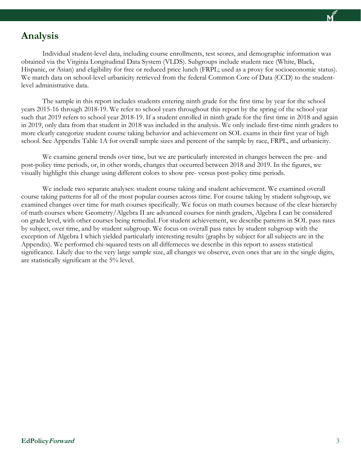

#### **Analysis**

Individual student-level data, including course enrollments, test scores, and demographic information was obtained via the Virginia Longitudinal Data System (VLDS). Subgroups include student race (White, Black, Hispanic, or Asian) and eligibility for free or reduced price lunch (FRPL; used as a proxy for socioeconomic status). We match data on school-level urbanicity retrieved from the federal Common Core of Data (CCD) to the studentlevel administrative data.

The sample in this report includes students entering ninth grade for the first time by year for the school years 2015-16 through 2018-19. We refer to school years throughout this report by the spring of the school year such that 2019 refers to school year 2018-19. If a student enrolled in ninth grade for the first time in 2018 and again in 2019, only data from that student in 2018 was included in the analysis. We only include first-time ninth graders to more clearly categorize student course taking behavior and achievement on SOL exams in their first year of high school. See Appendix Table 1A for overall sample sizes and percent of the sample by race, FRPL, and urbanicity.

We examine general trends over time, but we are particularly interested in changes between the pre- and post-policy time periods, or, in other words, changes that occurred between 2018 and 2019. In the figures, we visually highlight this change using different colors to show pre- versus post-policy time periods.

We include two separate analyses: student course taking and student achievement. We examined overall course taking patterns for all of the most popular courses across time. For course taking by student subgroup, we examined changes over time for math courses specifically. We focus on math courses because of the clear hierarchy of math courses where Geometry/Algebra II are advanced courses for ninth graders, Algebra I can be considered on grade level, with other courses being remedial. For student achievement, we describe patterns in SOL pass rates by subject, over time, and by student subgroup. We focus on overall pass rates by student subgroup with the exception of Algebra I which yielded particularly interesting results (graphs by subject for all subjects are in the Appendix). We performed chi-squared tests on all differneces we describe in this report to assess statistical significance. Likely due to the very large sample size, all changes we observe, even ones that are in the single digits, are statistically significant at the 5% level.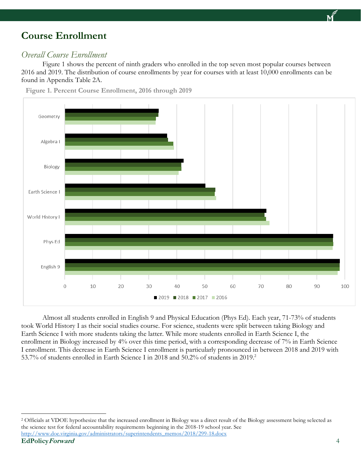#### **Course Enrollment**

#### *Overall Course Enrollment*

Figure 1 shows the percent of ninth graders who enrolled in the top seven most popular courses between 2016 and 2019. The distribution of course enrollments by year for courses with at least 10,000 enrollments can be found in Appendix Table 2A.



**Figure 1. Percent Course Enrollment, 2016 through 2019**

Almost all students enrolled in English 9 and Physical Education (Phys Ed). Each year, 71-73% of students took World History I as their social studies course. For science, students were split between taking Biology and Earth Science I with more students taking the latter. While more students enrolled in Earth Science I, the enrollment in Biology increased by 4% over this time period, with a corresponding decrease of 7% in Earth Science I enrollment. This decrease in Earth Science I enrollment is particularly pronounced in between 2018 and 2019 with 53.7% of students enrolled in Earth Science I in 2018 and 50.2% of students in 2019. 2

 $\overline{a}$ 

<sup>&</sup>lt;sup>2</sup> Officials at VDOE hypothesize that the increased enrollment in Biology was a direct result of the Biology assessment being selected as the science test for federal accountability requirements beginning in the 2018-19 school year. See [http://www.doe.virginia.gov/administrators/superintendents\\_memos/2018/299-18.docx](http://www.doe.virginia.gov/administrators/superintendents_memos/2018/299-18.docx)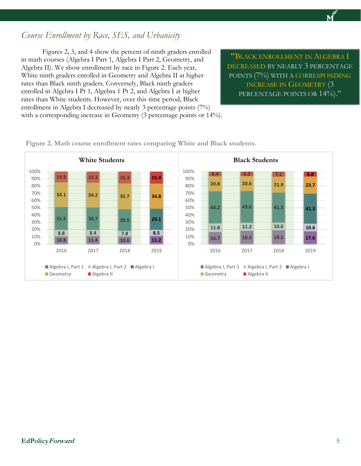#### *Course Enrollment by Race, SES, and Urbanicity*

Figures 2, 3, and 4 show the percent of ninth graders enrolled in math courses (Algebra I Part 1, Algebra I Part 2, Geometry, and Algebra II). We show enrollment by race in Figure 2. Each year, White ninth graders enrolled in Geometry and Algebra II at higher rates than Black ninth graders. Conversely, Black ninth graders enrolled in Algebra I Pt 1, Algebra 1 Pt 2, and Algebra I at higher rates than White students. However, over this time period, Black enrollment in Algebra I decreased by nearly 3 percentage points (7%) with a corresponding increase in Geometry (3 percentage points or 14%).

"BLACK ENROLLMENT IN ALGEBRA I DECREASED BY NEARLY 3 PERCENTAGE POINTS (7%) WITH A CORRESPONDING INCREASE IN GEOMETRY (3 PERCENTAGE POINTS OR 14%)."



**Figure 2. Math course enrollment rates comparing White and Black students.**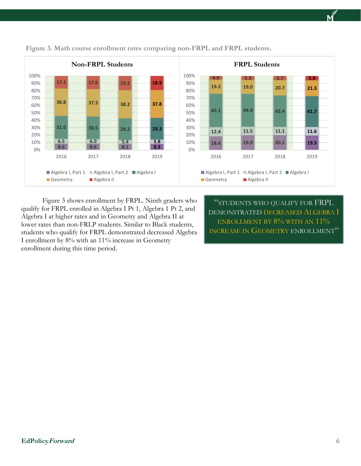

**Figure 3. Math course enrollment rates comparing non-FRPL and FRPL students.**

Figure 3 shows enrollment by FRPL. Ninth graders who qualify for FRPL enrolled in Algebra I Pt 1, Algebra 1 Pt 2, and Algebra I at higher rates and in Geometry and Algebra II at lower rates than non-FRLP students. Similar to Black students, students who qualify for FRPL demonstrated decreased Algebra I enrollment by 8% with an 11% increase in Geometry enrollment during this time period.

"STUDENTS WHO QUALIFY FOR FRPL DEMONSTRATED DECREASED ALGEBRA I ENROLLMENT BY 8% WITH AN  $11\%$ INCREASE IN GEOMETRY ENROLLMENT"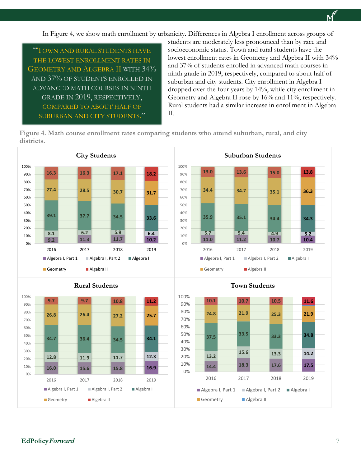In Figure 4, we show math enrollment by urbanicity. Differences in Algebra I enrollment across groups of

"TOWN AND RURAL STUDENTS HAVE THE LOWEST ENROLLMENT RATES IN GEOMETRY AND ALGEBRA II WITH 34% AND 37% OF STUDENTS ENROLLED IN ADVANCED MATH COURSES IN NINTH GRADE IN 2019, RESPECTIVELY, COMPARED TO ABOUT HALF OF SUBURBAN AND CITY STUDENTS."

students are moderately less pronounced than by race and socioeconomic status. Town and rural students have the lowest enrollment rates in Geometry and Algebra II with 34% and 37% of students enrolled in advanced math courses in ninth grade in 2019, respectively, compared to about half of suburban and city students. City enrollment in Algebra I dropped over the four years by 14%, while city enrollment in Geometry and Algebra II rose by 16% and 11%, respectively. Rural students had a similar increase in enrollment in Algebra II.

**Figure 4. Math course enrollment rates comparing students who attend suburban, rural, and city districts.**

> 0% 10% 20% 30% 40% 50% 60% 70% 80% 90% 100%



#### **Rural Students**





Geometry **Algebra II** 

**11.0 11.2 10.7 10.4 5.7 5.4 4.9 5.2**

2016 2017 2018 2019

■ Algebra I, Part 1 ■ Algebra I, Part 2 ■ Algebra I

**35.9 35.1 34.4 34.3**

**34.4 34.7 35.1 36.3**

**13.0 13.6 15.0 13.8**

**Suburban Students**

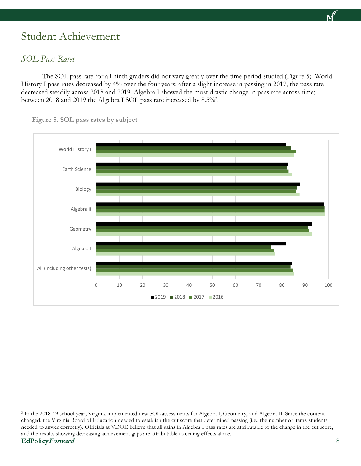## Student Achievement

#### *SOL Pass Rates*

 $\overline{a}$ 

The SOL pass rate for all ninth graders did not vary greatly over the time period studied (Figure 5). World History I pass rates decreased by 4% over the four years; after a slight increase in passing in 2017, the pass rate decreased steadily across 2018 and 2019. Algebra I showed the most drastic change in pass rate across time; between 2018 and 2019 the Algebra I SOL pass rate increased by 8.5%<sup>3</sup>.



**Figure 5. SOL pass rates by subject**

**EdPolicyForward** 8 <sup>3</sup> In the 2018-19 school year, Virginia implemented new SOL assessments for Algebra I, Geometry, and Algebra II. Since the content changed, the Virginia Board of Education needed to establish the cut score that determined passing (i.e., the number of items students needed to anwer correctly). Officials at VDOE believe that all gains in Algebra I pass rates are attributable to the change in the cut score, and the results showing decreasing achievement gaps are attributable to ceiling effects alone.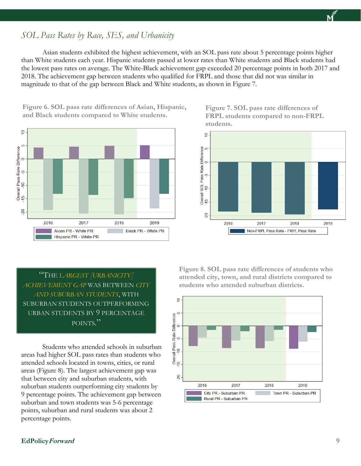# **EdPolicyForward** 9

*SOL Pass Rates by Race, SES, and Urbanicity*

Asian students exhibited the highest achievement, with an SOL pass rate about 5 percentage points higher than White students each year. Hispanic students passed at lower rates than White students and Black students had the lowest pass rates on average. The White-Black achievement gap exceeded 20 percentage points in both 2017 and 2018. The achievement gap between students who qualified for FRPL and those that did not was similar in magnitude to that of the gap between Black and White students, as shown in Figure 7.

**Figure 6. SOL pass rate differences of Asian, Hispanic, and Black students compared to White students.**



**Figure 7. SOL pass rate differences of FRPL students compared to non-FRPL students.**



"THE *LARGEST [URBANICITY] ACHIEVEMENT GAP* WAS BETWEEN *CITY AND SUBURBAN STUDENTS*, WITH SUBURBAN STUDENTS OUTPERFORMING URBAN STUDENTS BY 9 PERCENTAGE POINTS."

Students who attended schools in suburban areas had higher SOL pass rates than students who attended schools located in towns, cities, or rural areas (Figure 8). The largest achievement gap was that between city and suburban students, with suburban students outperforming city students by 9 percentage points. The achievement gap between suburban and town students was 5-6 percentage points, suburban and rural students was about 2 percentage points.

**Figure 8. SOL pass rate differences of students who attended city, town, and rural districts compared to students who attended suburban districts.**

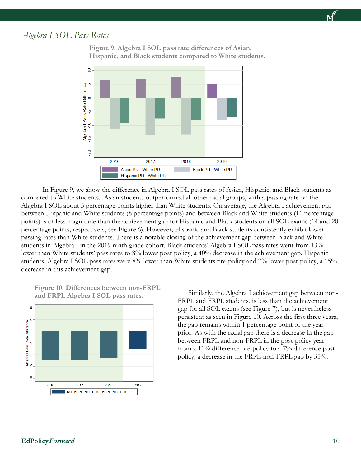

#### *Algebra I SOL Pass Rates*



**Figure 9. Algebra I SOL pass rate differences of Asian, Hispanic, and Black students compared to White students.**

In Figure 9, we show the difference in Algebra I SOL pass rates of Asian, Hispanic, and Black students as compared to White students. Asian students outperformed all other racial groups, with a passing rate on the Algebra I SOL about 5 percentage points higher than White students. On average, the Algebra I achievement gap between Hispanic and White students (8 percentage points) and between Black and White students (11 percentage points) is of less magnitude than the achievement gap for Hispanic and Black students on all SOL exams (14 and 20 percentage points, respectively, see Figure 6). However, Hispanic and Black students consistently exhibit lower passing rates than White students. There is a notable closing of the achievement gap between Black and White students in Algebra I in the 2019 ninth grade cohort. Black students' Algebra I SOL pass rates went from 13% lower than White students' pass rates to 8% lower post-policy, a 40% decrease in the achievement gap. Hispanic students' Algebra I SOL pass rates were 8% lower than White students pre-policy and 7% lower post-policy, a 15% decrease in this achievement gap.

**Figure 10. Differences between non-FRPL and FRPL Algebra I SOL pass rates.**



Similarly, the Algebra I achievement gap between non-FRPL and FRPL students, is less than the achievement gap for all SOL exams (see Figure 7), but is nevertheless persistent as seen in Figure 10. Across the first three years, the gap remains within 1 percentage point of the year prior. As with the racial gap there is a decrease in the gap between FRPL and non-FRPL in the post-policy year from a 11% difference pre-policy to a 7% difference postpolicy, a decrease in the FRPL-non-FRPL gap by 35%.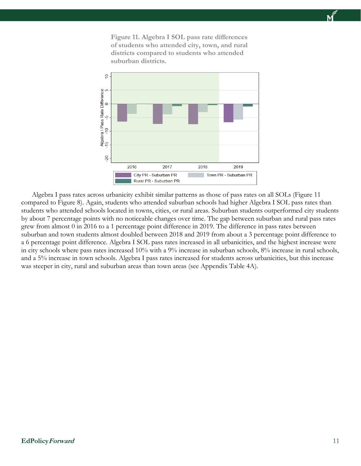**Figure 11. Algebra I SOL pass rate differences of students who attended city, town, and rural districts compared to students who attended suburban districts.**



Algebra I pass rates across urbanicity exhibit similar patterns as those of pass rates on all SOLs (Figure 11 compared to Figure 8). Again, students who attended suburban schools had higher Algebra I SOL pass rates than students who attended schools located in towns, cities, or rural areas. Suburban students outperformed city students by about 7 percentage points with no noticeable changes over time. The gap between suburban and rural pass rates grew from almost 0 in 2016 to a 1 percentage point difference in 2019. The difference in pass rates between suburban and town students almost doubled between 2018 and 2019 from about a 3 percentage point difference to a 6 percentage point difference. Algebra I SOL pass rates increased in all urbanicities, and the highest increase were in city schools where pass rates increased 10% with a 9% increase in suburban schools, 8% increase in rural schools, and a 5% increase in town schools. Algebra I pass rates increased for students across urbanicities, but this increase was steeper in city, rural and suburban areas than town areas (see Appendix Table 4A).